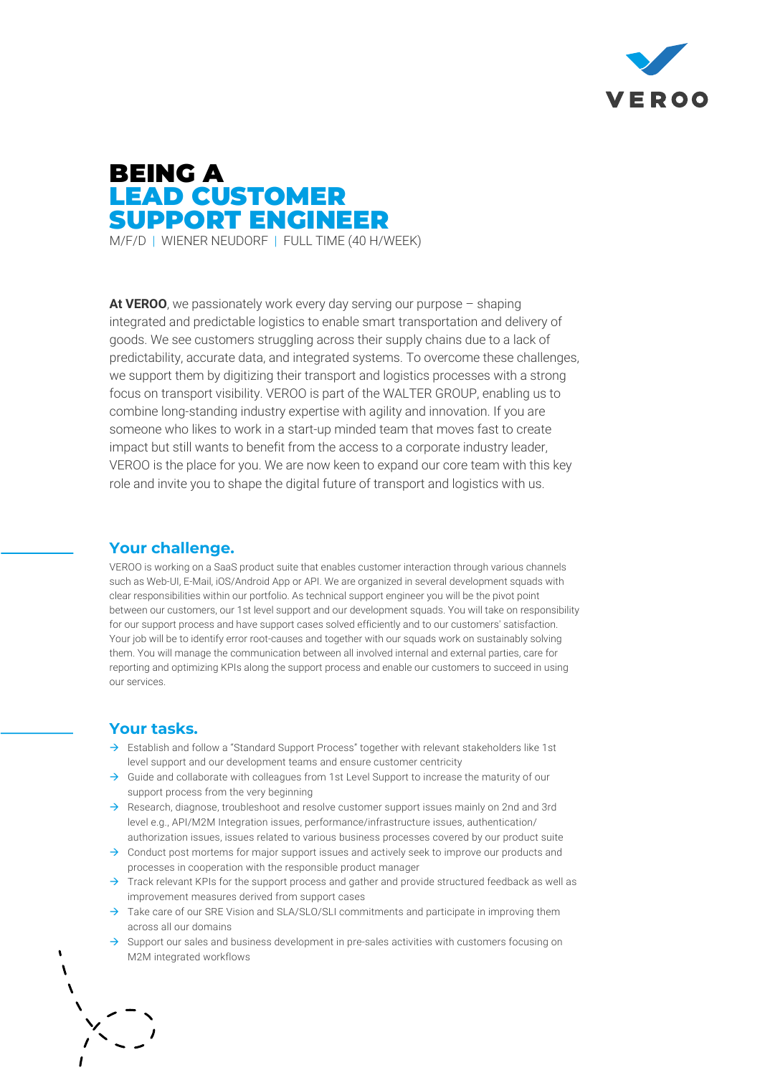

# BEING A LEAD CUSTOMER SUPPORT ENGINEER M/F/D | WIENER NEUDORF | FULL TIME (40 H/WEEK)

**At VEROO**, we passionately work every day serving our purpose – shaping integrated and predictable logistics to enable smart transportation and delivery of goods. We see customers struggling across their supply chains due to a lack of predictability, accurate data, and integrated systems. To overcome these challenges, we support them by digitizing their transport and logistics processes with a strong focus on transport visibility. VEROO is part of the WALTER GROUP, enabling us to combine long-standing industry expertise with agility and innovation. If you are someone who likes to work in a start-up minded team that moves fast to create impact but still wants to benefit from the access to a corporate industry leader, VEROO is the place for you. We are now keen to expand our core team with this key

role and invite you to shape the digital future of transport and logistics with us.

### **Your challenge.**

VEROO is working on a SaaS product suite that enables customer interaction through various channels such as Web-UI, E-Mail, iOS/Android App or API. We are organized in several development squads with clear responsibilities within our portfolio. As technical support engineer you will be the pivot point between our customers, our 1st level support and our development squads. You will take on responsibility for our support process and have support cases solved efficiently and to our customers' satisfaction. Your job will be to identify error root-causes and together with our squads work on sustainably solving them. You will manage the communication between all involved internal and external parties, care for reporting and optimizing KPIs along the support process and enable our customers to succeed in using our services.

## **Your tasks.**

- $\rightarrow$  Establish and follow a "Standard Support Process" together with relevant stakeholders like 1st level support and our development teams and ensure customer centricity
- $\rightarrow$  Guide and collaborate with colleagues from 1st Level Support to increase the maturity of our support process from the very beginning
- $\rightarrow$  Research, diagnose, troubleshoot and resolve customer support issues mainly on 2nd and 3rd level e.g., API/M2M Integration issues, performance/infrastructure issues, authentication/ authorization issues, issues related to various business processes covered by our product suite
- $\rightarrow$  Conduct post mortems for major support issues and actively seek to improve our products and processes in cooperation with the responsible product manager
- $\rightarrow$  Track relevant KPIs for the support process and gather and provide structured feedback as well as improvement measures derived from support cases
- $\rightarrow$  Take care of our SRE Vision and SLA/SLO/SLI commitments and participate in improving them across all our domains
- $\rightarrow$  Support our sales and business development in pre-sales activities with customers focusing on M2M integrated workflows